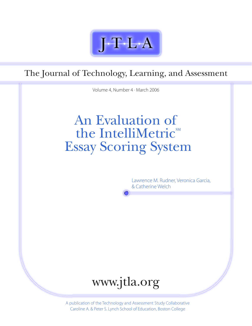

The Journal of Technology, Learning, and Assessment

Volume 4, Number 4 · March 2006

# An Evaluation of the IntelliMetric<sup>SM</sup> Essay Scoring System

Lawrence M. Rudner, Veronica Garcia, & Catherine Welch



A publication of the Technology and Assessment Study Collaborative Caroline A. & Peter S. Lynch School of Education, Boston College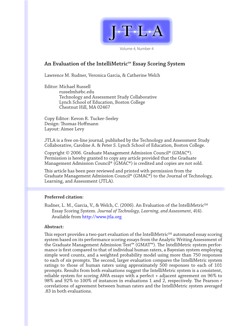

Volume 4, Number 4

### An Evaluation of the IntelliMetric<sup>M</sup> Essay Scoring System

Lawrence M. Rudner, Veronica Garcia, & Catherine Welch

Editor: Michael Russell russelmh@bc.edu Technology and Assessment Study Collaborative Lynch School of Education, Boston College Chestnut Hill, MA 02467

Copy Editor: Kevon R. Tucker-Seeley Design: Thomas Hoffmann Layout: Aimee Levy

JTLA is a free on-line journal, published by the Technology and Assessment Study Collaborative, Caroline A. & Peter S. Lynch School of Education, Boston College.

Copyright © 2006. Graduate Management Admission Council® (GMAC®). Permission is hereby granted to copy any article provided that the Graduate Management Admission Council® (GMAC®) is credited and copies are not sold.

This article has been peer reviewed and printed with permission from the Graduate Management Admission Council® (GMAC®) to the Journal of Technology, Learning, and Assessment (JTLA).

### **Preferred citation:**

Rudner, L. M., Garcia, V., & Welch, C. (2006). An Evaluation of the IntelliMetric<sup>SM</sup> Essay Scoring System. *Journal of Technology, Learning, and Assessment, 4*(4). Available from http://www.jtla.org

### **Abstract:**

This report provides a two-part evaluation of the IntelliMetric $\mathbb{S}^{M}$  automated essay scoring system based on its performance scoring essays from the Analytic Writing Assessment of the Graduate Management Admission Test™ (GMAT™). The IntelliMetric system performance is first compared to that of individual human raters, a Bayesian system employing simple word counts, and a weighted probability model using more than 750 responses to each of six prompts. The second, larger evaluation compares the IntelliMetric system ratings to those of human raters using approximately 500 responses to each of 101 prompts. Results from both evaluations suggest the IntelliMetric system is a consistent, reliable system for scoring AWA essays with a perfect + adjacent agreement on 96% to 98% and 92% to 100% of instances in evaluations 1 and 2, respectively. The Pearson *r* correlations of agreement between human raters and the IntelliMetric system averaged .83 in both evaluations.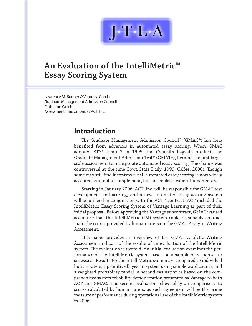

# **An Evaluation of the IntelliMetric**SM **Essay Scoring System**

Lawrence M. Rudner & Veronica Garcia Graduate Management Admission Council Catherine Welch Assessment Innovations at ACT, Inc.

# **Introduction**

The Graduate Management Admission Council® (GMAC®) has long benefited from advances in automated essay scoring. When GMAC adopted ETS® e-rater® in 1999, the Council's flagship product, the Graduate Management Admission Test® (GMAT®), became the first largescale assessment to incorporate automated essay scoring. The change was controversial at the time (Iowa State Daily, 1999; Calfee, 2000). Though some may still find it controversial, automated essay scoring is now widely accepted as a tool to complement, but not replace, expert human raters.

Starting in January 2006, ACT, Inc. will be responsible for GMAT test development and scoring, and a new automated essay scoring system will be utilized in conjunction with the ACT™ contract. ACT included the IntelliMetric Essay Scoring System of Vantage Learning as part of their initial proposal. Before approving the Vantage subcontract, GMAC wanted assurance that the IntelliMetric (IM) system could reasonably approximate the scores provided by human raters on the GMAT Analytic Writing Assessment.

This paper provides an overview of the GMAT Analytic Writing Assessment and part of the results of an evaluation of the IntelliMetric system. The evaluation is twofold. An initial evaluation examines the performance of the IntelliMetric system based on a sample of responses to six essays. Results for the IntelliMetric system are compared to individual human raters, a primitive Bayesian system using simple word counts, and a weighted probability model. A second evaluation is based on the comprehensive system reliability demonstration presented by Vantage to both ACT and GMAC. This second evaluation relies solely on comparisons to scores calculated by human raters, as such agreement will be the prime measure of performance during operational use of the IntelliMetric system in 2006.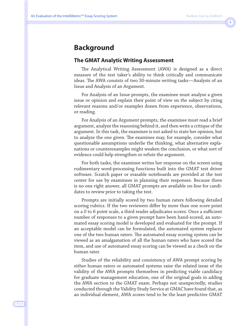## $\overline{4}$

# **Background**

### **The GMAT Analytic Writing Assessment**

The Analytical Writing Assessment (AWA) is designed as a direct measure of the test taker's ability to think critically and communicate ideas. The AWA consists of two 30-minute writing tasks—Analysis of an Issue and Analysis of an Argument.

For Analysis of an Issue prompts, the examinee must analyze a given issue or opinion and explain their point of view on the subject by citing relevant reasons and/or examples drawn from experience, observations, or reading.

For Analysis of an Argument prompts, the examinee must read a brief argument, analyze the reasoning behind it, and then write a critique of the argument. In this task, the examinee is not asked to state her opinion, but to analyze the one given. The examinee may, for example, consider what questionable assumptions underlie the thinking, what alternative explanations or counterexamples might weaken the conclusion, or what sort of evidence could help strengthen or refute the argument.

For both tasks, the examinee writes her response on the screen using rudimentary word-processing functions built into the GMAT test driver software. Scratch paper or erasable noteboards are provided at the test center for use by examinees in planning their responses. Because there is no one right answer, all GMAT prompts are available on-line for candidates to review prior to taking the test.

Prompts are initially scored by two human raters following detailed scoring rubrics. If the two reviewers differ by more than one score point on a 0 to 6 point scale, a third reader adjudicates scores. Once a sufficient number of responses to a given prompt have been hand-scored, an automated essay scoring model is developed and evaluated for the prompt. If an acceptable model can be formulated, the automated system replaces one of the two human raters. The automated essay scoring system can be viewed as an amalgamation of all the human raters who have scored the item, and use of automated essay scoring can be viewed as a check on the human rater.

Studies of the reliability and consistency of AWA prompt scoring by either human raters or automated systems raise the related issue of the validity of the AWA prompts themselves in predicting viable candidacy for graduate management education, one of the original goals in adding the AWA section to the GMAT exam. Perhaps not unexpectedly, studies conducted through the Validity Study Service at GMAC have found that, as an individual element, AWA scores tend to be the least predictive GMAT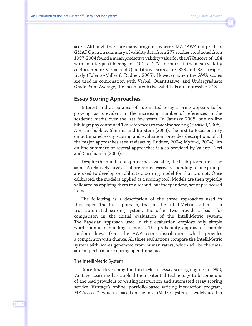$\overline{\phantom{a}}$ 

score. Although there are many programs where GMAT AWA out predicts GMAT Quant, a summary of validity data from 277 studies conducted from 1997-2004 found a mean predictive validity value for the AWA score of .184 with an interquartile range of .101 to .277. In contrast, the mean validity coefficients for Verbal and Quantitative scores are .323 and .331, respectively (Talento-Miller & Rudner, 2005). However, when the AWA scores are used in combination with Verbal, Quantitative, and Undergraduate Grade Point Average, the mean predictive validity is an impressive .513.

### **Essay Scoring Approaches**

Interest and acceptance of automated essay scoring appears to be growing, as is evident in the increasing number of references in the academic media over the last few years. In January 2005, one on-line bibliography contained 175 references to machine scoring (Haswell, 2005). A recent book by Shermis and Burstein (2003), the first to focus entirely on automated essay scoring and evaluation, provides descriptions of all the major approaches (see reviews by Rudner, 2004; Myford, 2004). An on-line summary of several approaches is also provided by Valenti, Neri and Cucchiarelli (2003).

Despite the number of approaches available, the basic procedure is the same. A relatively large set of pre-scored essays responding to one prompt are used to develop or calibrate a scoring model for that prompt. Once calibrated, the model is applied as a scoring tool. Models are then typically validated by applying them to a second, but independent, set of pre-scored items.

The following is a description of the three approaches used in this paper. The first approach, that of the IntelliMetric system, is a true automated scoring system. The other two provide a basis for comparison in the initial evaluation of the IntelliMetric system. The Bayesian approach used in this evaluation employs only simple word counts in building a model. The probability approach is simple random draws from the AWA score distribution, which provides a comparison with chance. All three evaluations compare the IntelliMetric system with scores generated from human raters, which will be the measure of performance during operational use.

### The IntelliMetric System

Since first developing the IntelliMetric essay scoring engine in 1998, Vantage Learning has applied their patented technology to become one of the lead providers of writing instruction and automated essay scoring service. Vantage's online, portfolio-based writing instruction program, MY Access!™, which is based on the IntelliMetric system, is widely used in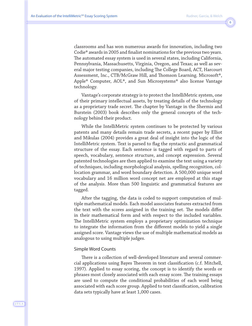$6\overline{6}$ 

classrooms and has won numerous awards for innovation, including two Codie® awards in 2005 and finalist nominations for the previous two years. The automated essay system is used in several states, including California, Pennsylvania, Massachusetts, Virginia, Oregon, and Texas; as well as several major testing companies, including The College Board, ACT, Harcourt Assessment, Inc., CTB/McGraw Hill, and Thomson Learning. Microsoft®, Apple® Computer, AOL®, and Sun Microsystems® also license Vantage technology.

Vantage's corporate strategy is to protect the IntelliMetric system, one of their primary intellectual assets, by treating details of the technology as a proprietary trade secret. The chapter by Vantage in the Shermis and Burstein (2003) book describes only the general concepts of the technology behind their product.

While the IntelliMetric system continues to be protected by various patents and many details remain trade secrets, a recent paper by Elliot and Mikulas (2004) provides a great deal of insight into the logic of the IntelliMetric system. Text is parsed to flag the syntactic and grammatical structure of the essay. Each sentence is tagged with regard to parts of speech, vocabulary, sentence structure, and concept expression. Several patented technologies are then applied to examine the text using a variety of techniques, including morphological analysis, spelling recognition, collocation grammar, and word boundary detection. A 500,000 unique word vocabulary and 16 million word concept net are employed at this stage of the analysis. More than 500 linguistic and grammatical features are tagged.

After the tagging, the data is coded to support computation of multiple mathematical models. Each model associates features extracted from the text with the scores assigned in the training set. The models differ in their mathematical form and with respect to the included variables. The IntelliMetric system employs a proprietary optimization technique to integrate the information from the different models to yield a single assigned score. Vantage views the use of multiple mathematical models as analogous to using multiple judges.

#### Simple Word Counts

There is a collection of well-developed literature and several commercial applications using Bayes Theorem in text classification (c.f. Mitchell, 1997). Applied to essay scoring, the concept is to identify the words or phrases most closely associated with each essay score. The training essays are used to compute the conditional probabilities of each word being associated with each score group. Applied to text classification, calibration data sets typically have at least 1,000 cases.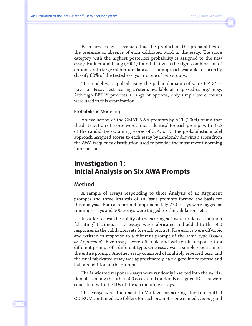Each new essay is evaluated as the product of the probabilities of the presence or absence of each calibrated word in the essay. The score category with the highest posteriori probability is assigned to the new essay. Rudner and Liang (2001) found that with the right combination of options and a large calibration data set, this approach was able to correctly classify 80% of the tested essays into one of two groups.

The model was applied using the public domain software BETSY— Bayesian Essay Test Scoring sYstem, available at http://edres.org/Betsy. Although BETSY provides a range of options, only simple word counts were used in this examination.

### Probabilistic Modeling

An evaluation of the GMAT AWA prompts by ACT (2004) found that the distribution of scores were almost identical for each prompt with 87% of the candidates obtaining scores of 3, 4, or 5. The probabilistic model approach assigned scores to each essay by randomly drawing a score from the AWA frequency distribution used to provide the most recent norming information.

# **Investigation 1: Initial Analysis on Six AWA Prompts**

### **Method**

A sample of essays responding to three Analysis of an Argument prompts and three Analysis of an Issue prompts formed the basis for this analysis. For each prompt, approximately 270 essays were tagged as training essays and 500 essays were tagged for the validation sets.

In order to test the ability of the scoring software to detect common "cheating" techniques, 13 essays were fabricated and added to the 500 responses in the validation sets for each prompt. Five essays were off-topic and written in response to a different prompt of the same type (*Issues or Arguments*). Five essays were off-topic and written in response to a different prompt of a different type. One essay was a simple repetition of the entire prompt. Another essay consisted of multiply repeated text, and the final fabricated essay was approximately half a genuine response and half a repetition of the prompt.

The fabricated response essays were randomly inserted into the validation files among the other 500 essays and randomly assigned IDs that were consistent with the IDs of the surrounding essays.

The essays were then sent to Vantage for scoring. The transmitted CD-ROM contained two folders for each prompt—one named *Training* and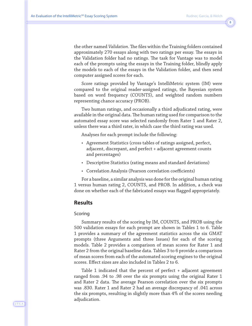$\sqrt{8}$ 

the other named *Validation*. The files within the Training folders contained approximately 270 essays along with two ratings per essay. The essays in the Validation folder had no ratings. The task for Vantage was to model each of the prompts using the essays in the Training folder, blindly apply the models to each of the essays in the Validation folder, and then send computer assigned scores for each.

Score ratings provided by Vantage's IntelliMetric system (IM) were compared to the original reader-assigned ratings, the Bayesian system based on word frequency (COUNTS), and weighted random numbers representing chance accuracy (PROB).

Two human ratings, and occasionally a third adjudicated rating, were available in the original data. The human rating used for comparison to the automated essay score was selected randomly from Rater 1 and Rater 2, unless there was a third rater, in which case the third rating was used.

Analyses for each prompt include the following:

- Agreement Statistics (cross tables of ratings assigned, perfect, adjacent, discrepant, and perfect + adjacent agreement counts and percentages)
- Descriptive Statistics (rating means and standard deviations)
- Correlation Analysis (Pearson correlation coefficients)

For a baseline, a similar analysis was done for the original human rating 1 versus human rating 2, COUNTS, and PROB. In addition, a check was done on whether each of the fabricated essays was flagged appropriately.

### **Results**

#### Scoring

Summary results of the scoring by IM, COUNTS, and PROB using the 500 validation essays for each prompt are shown in Tables 1 to 6. Table 1 provides a summary of the agreement statistics across the six GMAT prompts (three Arguments and three Issues) for each of the scoring models. Table 2 provides a comparison of mean scores for Rater 1 and Rater 2 from the original baseline data. Tables 3 to 6 provide a comparison of mean scores from each of the automated scoring engines to the original scores. Effect sizes are also included in Tables 2 to 6.

Table 1 indicated that the percent of perfect + adjacent agreement ranged from .94 to .98 over the six prompts using the original Rater 1 and Rater 2 data. The average Pearson correlation over the six prompts was .830. Rater 1 and Rater 2 had an average discrepancy of .041 across the six prompts, resulting in slightly more than 4% of the scores needing adjudication.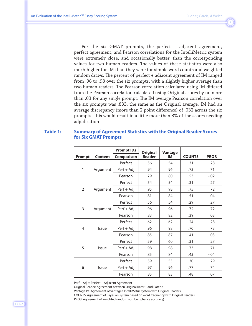$\overline{9}$ 

For the six GMAT prompts, the perfect + adjacent agreement, perfect agreement, and Pearson correlations for the IntelliMetric system were extremely close, and occasionally better, than the corresponding values for two human readers. The values of these statistics were also much higher for IM than they were for simple word counts and weighted random draws. The percent of perfect + adjacent agreement of IM ranged from .96 to .98 over the six prompts, with a slightly higher average than two human readers. The Pearson correlation calculated using IM differed from the Pearson correlation calculated using Original scores by no more than .03 for any single prompt. The IM average Pearson correlation over the six prompts was .833, the same as the Original average. IM had an average discrepancy (more than 2 point difference) of .032 across the six prompts. This would result in a little more than 3% of the scores needing adjudication

### **Table 1: Summary of Agreement Statistics with the Original Reader Scores for Six GMAT Prompts**

|                |                | <b>Prompt IDs</b> | <b>Original</b> | Vantage |               |             |
|----------------|----------------|-------------------|-----------------|---------|---------------|-------------|
| Prompt         | <b>Content</b> | <b>Comparison</b> | <b>Reader</b>   | IM      | <b>COUNTS</b> | <b>PROB</b> |
|                |                | Perfect           | .56             | .54     | .31           | .28         |
| 1              | Argument       | Perf + Adj        | .94             | .96     | .73           | .71         |
|                |                | Pearson           | .79             | .80     | .53           | $-.02$      |
|                |                | Perfect           | .54             | .54     | .31           | .27         |
| $\overline{2}$ | Argument       | Perf + Adj        | .95             | .98     | .75           | .72         |
|                |                | Pearson           | .81             | .84     | .51           | $-.04$      |
|                | Argument       | Perfect           | .56             | .54     | .29           | .27         |
| 3              |                | Perf + Adj        | .96             | .96     | .72           | .72         |
|                |                | Pearson           | .83             | .82     | .39           | .03         |
|                | Issue          | Perfect           | .62             | .62     | .24           | .28         |
| 4              |                | Perf + Adj        | .96             | .98     | .70           | .73         |
|                |                | Pearson           | .85             | .87     | .41           | .03         |
|                |                | Perfect           | .59             | .60     | .31           | .27         |
| 5              | Issue          | Perf + Adj        | .98             | .98     | .73           | .71         |
|                |                | Pearson           | .85             | .84     | .43           | $-.04$      |
|                |                | Perfect           | .59             | .55     | .30           | .29         |
| 6              | Issue          | Perf + Adj        | .97             | .96     | .77           | .74         |
|                |                | Pearson           | .85             | .83     | .48           | .07         |

Perf + Adj = Perfect + Adjacent Agreement

Original Reader: Agreement between Original Rater 1 and Rater 2

Vantage IM: Agreement of Vantage's IntelliMetric system with Original Readers

COUNTS: Agreement of Bayesian system based on word frequency with Original Readers

PROB: Agreement of weighted random number (chance accuracy)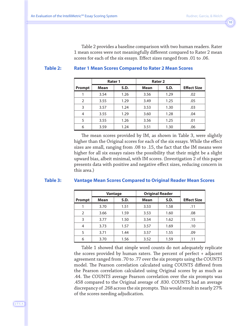Table 2 provides a baseline comparison with two human readers. Rater 1 mean scores were not meaningfully different compared to Rater 2 mean scores for each of the six essays. Effect sizes ranged from .01 to .06.

### **Table 2: Rater 1 Mean Scores Compared to Rater 2 Mean Scores**

|                | Rater 1     |      | Rater <sub>2</sub> |      |                    |
|----------------|-------------|------|--------------------|------|--------------------|
| Prompt         | <b>Mean</b> | S.D. | <b>Mean</b>        | S.D. | <b>Effect Size</b> |
|                | 3.54        | 1.26 | 3.56               | 1.29 | .02                |
| $\overline{2}$ | 3.55        | 1.29 | 3.49               | 1.25 | .05                |
| 3              | 3.57        | 1.24 | 3.53               | 1.30 | .03                |
| 4              | 3.55        | 1.29 | 3.60               | 1.28 | .04                |
| 5              | 3.55        | 1.26 | 3.56               | 1.25 | .01                |
| 6              | 3.59        | 1.24 | 3.51               | 1.30 | .06                |

The mean scores provided by IM, as shown in Table 3, were slightly higher than the Original scores for each of the six essays. While the effect sizes are small, ranging from .08 to .15, the fact that the IM means were higher for all six essays raises the possibility that their might be a slight upward bias, albeit minimal, with IM scores. (Investigation 2 of this paper presents data with positive and negative effect sizes, reducing concern in this area.)

#### **Table 3: Vantage Mean Scores Compared to Original Reader Mean Scores**

|        | Vantage     |      | <b>Original Reader</b> |      |                    |
|--------|-------------|------|------------------------|------|--------------------|
| Prompt | <b>Mean</b> | S.D. | Mean                   | S.D. | <b>Effect Size</b> |
|        | 3.70        | 1.51 | 3.53                   | 1.58 | .11                |
| 2      | 3.66        | 1.59 | 3.53                   | 1.60 | .08                |
| 3      | 3.77        | 1.50 | 3.54                   | 1.62 | .15                |
| 4      | 3.73        | 1.57 | 3.57                   | 1.69 | .10                |
| 5      | 3.71        | 1.44 | 3.57                   | 1.55 | .09                |
| 6      | 3.70        | 1.56 | 3.52                   | 1.59 | .11                |

Table 1 showed that simple word counts do not adequately replicate the scores provided by human raters. The percent of perfect + adjacent agreement ranged from .70 to .77 over the six prompts using the COUNTS model. The Pearson correlation calculated using COUNTS differed from the Pearson correlation calculated using Original scores by as much as .44. The COUNTS average Pearson correlation over the six prompts was .458 compared to the Original average of .830. COUNTS had an average discrepancy of .268 across the six prompts. This would result in nearly 27% of the scores needing adjudication.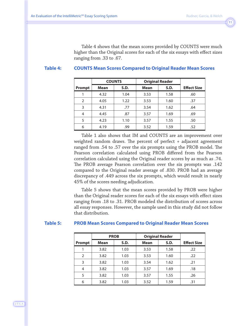Table 4 shows that the mean scores provided by COUNTS were much higher than the Original scores for each of the six essays with effect sizes ranging from .33 to .67.

### **Table 4: COUNTS Mean Scores Compared to Original Reader Mean Scores**

|                | <b>COUNTS</b> |      | <b>Original Reader</b> |      |                    |
|----------------|---------------|------|------------------------|------|--------------------|
| Prompt         | <b>Mean</b>   | S.D. | <b>Mean</b>            | S.D. | <b>Effect Size</b> |
|                | 4.32          | 1.04 | 3.53                   | 1.58 | .60                |
| $\overline{2}$ | 4.05          | 1.22 | 3.53                   | 1.60 | .37                |
| 3              | 4.31          | .77  | 3.54                   | 1.62 | .64                |
| $\overline{4}$ | 4.45          | .87  | 3.57                   | 1.69 | .69                |
| 5              | 4.23          | 1.10 | 3.57                   | 1.55 | .50                |
| 6              | 4.19          | .99  | 3.52                   | 1.59 | .52                |

Table 1 also shows that IM and COUNTS are an improvement over weighted random draws. The percent of perfect + adjacent agreement ranged from .54 to .57 over the six prompts using the PROB model. The Pearson correlation calculated using PROB differed from the Pearson correlation calculated using the Original reader scores by as much as .74. The PROB average Pearson correlation over the six prompts was .142 compared to the Original reader average of .830. PROB had an average discrepancy of .449 across the six prompts, which would result in nearly 45% of the scores needing adjudication.

Table 5 shows that the mean scores provided by PROB were higher than the Original reader scores for each of the six essays with effect sizes ranging from .18 to .31. PROB modeled the distribution of scores across all essay responses. However, the sample used in this study did not follow that distribution.

### **Table 5: PROB Mean Scores Compared to Original Reader Mean Scores**

|               | <b>PROB</b> |      | <b>Original Reader</b> |      |                    |
|---------------|-------------|------|------------------------|------|--------------------|
| <b>Prompt</b> | <b>Mean</b> | S.D. | <b>Mean</b>            | S.D. | <b>Effect Size</b> |
|               | 3.82        | 1.03 | 3.53                   | 1.58 | .22                |
| 2             | 3.82        | 1.03 | 3.53                   | 1.60 | .22                |
| 3             | 3.82        | 1.03 | 3.54                   | 1.62 | .21                |
| 4             | 3.82        | 1.03 | 3.57                   | 1.69 | .18                |
| 5             | 3.82        | 1.03 | 3.57                   | 1.55 | .26                |
| 6             | 3.82        | 1.03 | 3.52                   | 1.59 | .31                |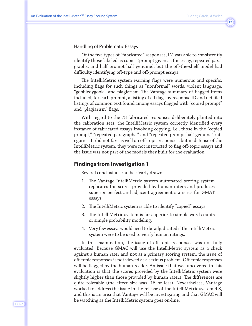Handling of Problematic Essays

Of the five types of "fabricated" responses, IM was able to consistently identify those labeled as copies (prompt given as the essay, repeated paragraphs, and half prompt half genuine), but the off-the-shelf model had difficulty identifying off-type and off-prompt essays.

The IntelliMetric system warning flags were numerous and specific, including flags for such things as "nonformal" words, violent language, "gobbledygook", and plagiarism. The Vantage summary of flagged items included, for each prompt, a listing of all flags by response ID and detailed listings of common text found among essays flagged with "copied prompt" and "plagiarism" flags.

With regard to the 78 fabricated responses deliberately planted into the calibration sets, the IntelliMetric system correctly identified every instance of fabricated essays involving copying, i.e., those in the "copied prompt," "repeated paragraphs," and "repeated prompt half genuine" categories. It did not fare as well on off-topic responses, but in defense of the IntelliMetric system, they were not instructed to flag off-topic essays and the issue was not part of the models they built for the evaluation.

### **Findings from Investigation 1**

Several conclusions can be clearly drawn.

- 1. The Vantage IntelliMetric system automated scoring system replicates the scores provided by human raters and produces superior perfect and adjacent agreement statistics for GMAT essays.
- 2. The IntelliMetric system is able to identify "copied" essays.
- 3. The IntelliMetric system is far superior to simple word counts or simple probability modeling.
- 4. Very few essays would need to be adjudicated if the IntelliMetric system were to be used to verify human ratings.

In this examination, the issue of off-topic responses was not fully evaluated. Because GMAC will use the IntelliMetric system as a check against a human rater and not as a primary scoring system, the issue of off-topic responses is not viewed as a serious problem. Off-topic responses will be flagged by the human reader. An issue that was uncovered in this evaluation is that the scores provided by the IntelliMetric system were slightly higher than those provided by human raters. The differences are quite tolerable (the effect size was .15 or less). Nevertheless, Vantage worked to address the issue in the release of the IntelliMetric system 9.3, and this is an area that Vantage will be investigating and that GMAC will be watching as the IntelliMetric system goes on-line.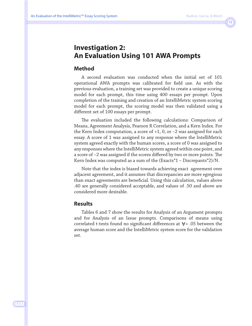# **Investigation 2: An Evaluation Using 101 AWA Prompts**

### **Method**

A second evaluation was conducted when the initial set of 101 operational AWA prompts was calibrated for field use. As with the previous evaluation, a training set was provided to create a unique scoring model for each prompt, this time using 400 essays per prompt. Upon completion of the training and creation of an IntelliMetric system scoring model for each prompt, the scoring model was then validated using a different set of 100 essays per prompt.

The evaluation included the following calculations: Comparison of Means, Agreement Analysis, Pearson R Correlation, and a Kern Index. For the Kern Index computation, a score of +1, 0, or –2 was assigned for each essay. A score of 1 was assigned to any response where the IntelliMetric system agreed exactly with the human scores, a score of 0 was assigned to any responses where the IntelliMetric system agreed within one point, and a score of –2 was assigned if the scores differed by two or more points. The Kern Index was computed as a sum of the (Exacts\*1 – Discrepants\*2)/N.

Note that the index is biased towards achieving exact agreement over adjacent agreement, and it assumes that discrepancies are more egregious than exact agreements are beneficial. Using this calculation, values above .40 are generally considered acceptable, and values of .50 and above are considered more desirable.

### **Results**

Tables 6 and 7 show the results for Analysis of an Argument prompts and for Analysis of an Issue prompts. Comparisons of means using correlated t-tests found no significant differences at  $\forall$  = .05 between the average human score and the IntelliMetric system score for the validation set.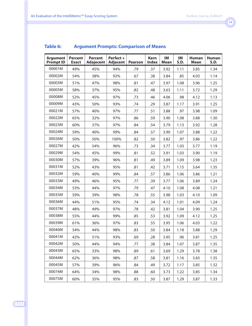#### **Argument Prompt ID Percent Exact Percent Adajecent Perfect + Adjacent Pearson Kern Index IM Mean IM S.D. Human Mean Human S.D.** 00001M | 49% | 45% | 94% | .79 | .37 | 3.92 | 1.11 | 3.85 | 1.34 00002M | 54% | 38% | 92% | .67 | .38 | 3.84 | .85 | 4.03 | 1.14 00003M | 51% | 47% | 98% | .81 | .47 | 3.97 | 1.08 | 3.96 | 1.25 00005M | 58% | 37% | 95% | .82 | .48 | 3.63 | 1.11 | 3.72 | 1.29 00008M | 52% | 45% | 97% | .73 | .46 | 4.06 | .98 | 4.12 | 1.13 00009M | 43% | 50% | 93% | .74 | .29 | 3.87 | 1.17 | 3.91 | 1.25 00021M | 57% | 40% | 97% | .77 | .51 | 3.88 | .97 | 3.98 | 1.09 00022M | 65% | 32% | 97% | .86 | .59 | 3.90 | 1.08 | 3.88 | 1.30 00023M | 60% | 37% | 97% | .84 | .54 | 3.79 | 1.13 | 3.92 | 1.28 00024M | 59% | 40% | 99% | .84 | .57 | 3.90 | 1.07 | 3.88 | 1.22 00026M | 50% | 50% | 100% | .82 | .50 | 3.82 | .97 | 3.86 | 1.22 00027M | 42% | 54% | 96% | .73 | .34 | 3.77 | 1.03 | 3.77 | 1.19 00029M | 54% | 45% | 99% | .81 | .52 | 3.91 | 1.03 | 3.90 | 1.19 00030M | 57% | 39% | 96% | .81 | .49 | 3.89 | 1.09 | 3.98 | 1.23 00031M | 52% | 43% | 95% | .81 | .42 | 3.71 | 1.15 | 3.64 | 1.35 00032M | 59% | 40% | 99% | .84 | .57 | 3.86 | 1.06 | 3.86 | 1.21 00033M | 49% | 46% | 95% | .77 | .39 | 3.77 | 1.06 | 3.89 | 1.24 00034M | 53% | 44% | 97% | .79 | .47 | 4.10 | 1.08 | 4.08 | 1.21 00035M | 59% | 39% | 98% | .78 | .55 | 3.98 | 1.03 | 4.10 | 1.09 00036M | 44% | 51% | 95% | .74 | .34 | 4.12 | 1.01 | 4.09 | 1.24 00037M | 48% | 49% | 97% | .78 | .42 | 3.81 | 1.04 | 3.90 | 1.25 00038M | 55% | 44% | 99% | .85 | .53 | 3.92 | 1.09 | 4.12 | 1.25 00039M | 61% | 36% | 97% | .83 | .55 | 3.95 | 1.06 | 4.03 | 1.22 00040M | 54% | 44% | 98% | .83 | .50 | 3.84 | 1.18 | 3.88 | 1.29 00041M | 42% | 51% | 93% | .69 | .28 | 3.95 | .96 | 3.81 | 1.25 00042M | 50% | 44% | 94% | .77 | .38 | 3.84 | 1.07 | 3.87 | 1.35 00043M | 65% | 33% | 98% | .89 | .61 | 3.69 | 1.29 | 3.78 | 1.38 00044M | 62% | 36% | 98% | .87 | .58 | 3.81 | 1.16 | 3.83 | 1.35 00045M | 57% | 39% | 96% | .84 | .49 | 3.72 | 1.17 | 3.85 | 1.32 00074M | 64% | 34% | 98% | .88 | .60 | 3.73 | 1.22 | 3.85 | 1.34 00075M | 60% | 35% | 95% | .83 | .50 | 3.87 | 1.29 | 3.87 | 1.33

### **Table 6: Argument Prompts: Comparison of Means**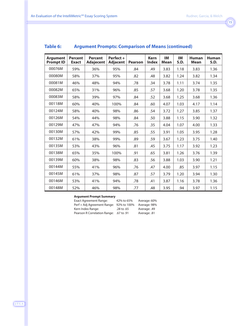| <b>Argument</b><br><b>Prompt ID</b> | <b>Percent</b><br><b>Exact</b> | <b>Percent</b><br><b>Adajecent</b> | Perfect +<br><b>Adjacent</b> | <b>Pearson</b> | <b>Kern</b><br><b>Index</b> | <b>IM</b><br><b>Mean</b> | IM<br>S.D. | <b>Human</b><br><b>Mean</b> | <b>Human</b><br>S.D. |
|-------------------------------------|--------------------------------|------------------------------------|------------------------------|----------------|-----------------------------|--------------------------|------------|-----------------------------|----------------------|
| 00076M                              | 59%                            | 36%                                | 95%                          | .84            | .49                         | 3.83                     | 1.18       | 3.83                        | 1.36                 |
| 00080M                              | 58%                            | 37%                                | 95%                          | .82            | .48                         | 3.82                     | 1.24       | 3.82                        | 1.34                 |
| 00081M                              | 46%                            | 48%                                | 94%                          | .78            | .34                         | 3.78                     | 1.11       | 3.74                        | 1.35                 |
| 00082M                              | 65%                            | 31%                                | 96%                          | .85            | .57                         | 3.68                     | 1.20       | 3.78                        | 1.35                 |
| 00083M                              | 58%                            | 39%                                | 97%                          | .84            | .52                         | 3.68                     | 1.25       | 3.68                        | 1.36                 |
| 00118M                              | 60%                            | 40%                                | 100%                         | .84            | .60                         | 4.07                     | 1.03       | 4.17                        | 1.14                 |
| 00124M                              | 58%                            | 40%                                | 98%                          | .86            | .54                         | 3.72                     | 1.27       | 3.85                        | 1.37                 |
| 00126M                              | 54%                            | 44%                                | 98%                          | .84            | .50                         | 3.88                     | 1.15       | 3.90                        | 1.32                 |
| 00129M                              | 47%                            | 47%                                | 94%                          | .76            | .35                         | 4.04                     | 1.07       | 4.00                        | 1.33                 |
| 00130M                              | 57%                            | 42%                                | 99%                          | .85            | .55                         | 3.91                     | 1.05       | 3.95                        | 1.28                 |
| 00132M                              | 61%                            | 38%                                | 99%                          | .89            | .59                         | 3.67                     | 1.23       | 3.75                        | 1.40                 |
| 00135M                              | 53%                            | 43%                                | 96%                          | .81            | .45                         | 3.75                     | 1.17       | 3.92                        | 1.23                 |
| 00138M                              | 65%                            | 35%                                | 100%                         | .91            | .65                         | 3.81                     | 1.26       | 3.76                        | 1.39                 |
| 00139M                              | 60%                            | 38%                                | 98%                          | .83            | .56                         | 3.88                     | 1.03       | 3.90                        | 1.21                 |
| 00144M                              | 55%                            | 41%                                | 96%                          | .76            | .47                         | 4.00                     | .85        | 3.97                        | 1.15                 |
| 00145M                              | 61%                            | 37%                                | 98%                          | .87            | .57                         | 3.79                     | 1.20       | 3.94                        | 1.30                 |
| 00146M                              | 53%                            | 41%                                | 94%                          | .78            | .41                         | 3.87                     | 1.16       | 3.78                        | 1.36                 |
| 00148M                              | 52%                            | 46%                                | 98%                          | .77            | .48                         | 3.95                     | .94        | 3.97                        | 1.15                 |

### **Table 6: Argument Prompts: Comparison of Means (continued)**

#### **Argument Prompt Summary**

| Exact Agreement Range:                  | 42% to 65% | Average: 60% |
|-----------------------------------------|------------|--------------|
| Perf + Adj Agreement Range: 92% to 100% |            | Average: 98% |
| Kern Index Range:                       | .28 to .65 | Average: .49 |
| Pearson R Correlation Range:            | .67 to .91 | Average: .81 |

J·T·L·A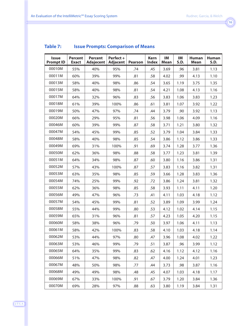| <b>Issue</b><br><b>Prompt ID</b> | <b>Percent</b><br><b>Exact</b> | <b>Percent</b><br>Adajecent | Perfect +<br><b>Adjacent</b> | <b>Pearson</b> | <b>Kern</b><br><b>Index</b> | IM<br><b>Mean</b> | IM<br>S.D. | <b>Human</b><br><b>Mean</b> | <b>Human</b><br>S.D. |
|----------------------------------|--------------------------------|-----------------------------|------------------------------|----------------|-----------------------------|-------------------|------------|-----------------------------|----------------------|
| 00010M                           | 55%                            | 40%                         | 95%                          | .74            | .45                         | 3.69              | .96        | 3.81                        | 1.13                 |
| 00011M                           | 60%                            | 39%                         | 99%                          | .81            | .58                         | 4.02              | .99        | 4.13                        | 1.10                 |
| 00013M                           | 58%                            | 40%                         | 98%                          | .86            | .54                         | 3.65              | 1.19       | 3.75                        | 1.35                 |
| 00015M                           | 58%                            | 40%                         | 98%                          | .81            | .54                         | 4.21              | 1.08       | 4.13                        | 1.16                 |
| 00017M                           | 64%                            | 32%                         | 96%                          | .83            | .56                         | 3.83              | 1.06       | 3.83                        | 1.23                 |
| 00018M                           | 61%                            | 39%                         | 100%                         | .86            | .61                         | 3.81              | 1.07       | 3.92                        | 1.22                 |
| 00019M                           | 50%                            | 47%                         | 97%                          | .74            | .44                         | 3.79              | .90        | 3.92                        | 1.13                 |
| 00020M                           | 66%                            | 29%                         | 95%                          | .81            | .56                         | 3.98              | 1.06       | 4.09                        | 1.16                 |
| 00046M                           | 60%                            | 39%                         | 99%                          | .87            | .58                         | 3.71              | 1.21       | 3.80                        | 1.32                 |
| 00047M                           | 54%                            | 45%                         | 99%                          | .85            | .52                         | 3.79              | 1.04       | 3.84                        | 1.33                 |
| 00048M                           | 58%                            | 40%                         | 98%                          | .85            | .54                         | 3.86              | 1.12       | 3.86                        | 1.33                 |
| 00049M                           | 69%                            | 31%                         | 100%                         | .91            | .69                         | 3.74              | 1.28       | 3.77                        | 1.36                 |
| 00050M                           | 62%                            | 36%                         | 98%                          | .88            | .58                         | 3.77              | 1.23       | 3.81                        | 1.39                 |
| 00051M                           | 64%                            | 34%                         | 98%                          | .87            | .60                         | 3.80              | 1.16       | 3.86                        | 1.31                 |
| 00052M                           | 57%                            | 43%                         | 100%                         | .87            | .57                         | 3.83              | 1.16       | 3.82                        | 1.31                 |
| 00053M                           | 63%                            | 35%                         | 98%                          | .85            | .59                         | 3.66              | 1.28       | 3.83                        | 1.36                 |
| 00054M                           | 74%                            | 25%                         | 99%                          | .92            | .72                         | 3.86              | 1.24       | 3.81                        | 1.32                 |
| 00055M                           | 62%                            | 36%                         | 98%                          | .85            | .58                         | 3.93              | 1.11       | 4.11                        | 1.20                 |
| 00056M                           | 49%                            | 47%                         | 96%                          | .73            | .41                         | 4.11              | 1.03       | 4.18                        | 1.12                 |
| 00057M                           | 54%                            | 45%                         | 99%                          | .81            | .52                         | 3.89              | 1.09       | 3.99                        | 1.24                 |
| 00058M                           | 55%                            | 44%                         | 99%                          | .80            | .53                         | 4.12              | 1.02       | 4.14                        | 1.15                 |
| 00059M                           | 65%                            | 31%                         | 96%                          | .81            | .57                         | 4.23              | 1.05       | 4.20                        | 1.15                 |
| 00060M                           | 58%                            | 38%                         | 96%                          | .79            | .50                         | 3.97              | 1.06       | 4.11                        | 1.13                 |
| 00061M                           | 58%                            | 42%                         | 100%                         | .83            | .58                         | 4.10              | 1.03       | 4.18                        | 1.14                 |
| 00062M                           | 53%                            | 44%                         | 97%                          | .80            | .47                         | 3.96              | 1.08       | 4.02                        | 1.22                 |
| 00063M                           | 53%                            | 46%                         | 99%                          | .79            | .51                         | 3.87              | .96        | 3.99                        | 1.12                 |
| 00065M                           | 64%                            | 35%                         | 99%                          | .83            | .62                         | 4.16              | 1.12       | 4.12                        | 1.16                 |
| 00066M                           | 51%                            | 47%                         | 98%                          | .82            | .47                         | 4.00              | 1.24       | 4.01                        | 1.23                 |
| 00067M                           | 48%                            | 50%                         | 98%                          | .77            | .44                         | 3.73              | .98        | 3.87                        | 1.16                 |
| 00068M                           | 49%                            | 49%                         | 98%                          | .48            | .45                         | 4.07              | 1.03       | 4.18                        | 1.17                 |
| 00069M                           | 67%                            | 33%                         | 100%                         | .91            | .67                         | 3.79              | 1.20       | 3.84                        | 1.36                 |
| 00070M                           | 69%                            | 28%                         | 97%                          | .88            | .63                         | 3.80              | 1.19       | 3.84                        | 1.31                 |

### **Table 7: Issue Prompts: Comparison of Means**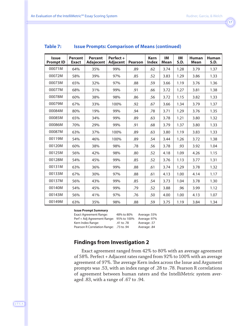| r. |  |
|----|--|
|    |  |

| <b>Issue</b><br><b>Prompt ID</b> | <b>Percent</b><br><b>Exact</b> | <b>Percent</b><br><b>Adajecent</b> | Perfect +<br><b>Adjacent</b> | <b>Pearson</b> | <b>Kern</b><br><b>Index</b> | IM<br><b>Mean</b> | IM<br>S.D. | <b>Human</b><br><b>Mean</b> | <b>Human</b><br><b>S.D.</b> |
|----------------------------------|--------------------------------|------------------------------------|------------------------------|----------------|-----------------------------|-------------------|------------|-----------------------------|-----------------------------|
| 00071M                           | 64%                            | 35%                                | 99%                          | .89            | .62                         | 3.74              | 1.28       | 3.79                        | 1.37                        |
| 00072M                           | 58%                            | 39%                                | 97%                          | .85            | .52                         | 3.83              | 1.29       | 3.86                        | 1.33                        |
| 00073M                           | 65%                            | 32%                                | 97%                          | .88            | .59                         | 3.66              | 1.19       | 3.76                        | 1.36                        |
| 00077M                           | 68%                            | 31%                                | 99%                          | .91            | .66                         | 3.72              | 1.27       | 3.81                        | 1.38                        |
| 00078M                           | 60%                            | 38%                                | 98%                          | .86            | .56                         | 3.72              | 1.15       | 3.82                        | 1.33                        |
| 00079M                           | 67%                            | 33%                                | 100%                         | .92            | .67                         | 3.66              | 1.34       | 3.79                        | 1.37                        |
| 00084M                           | 80%                            | 19%                                | 99%                          | .94            | .78                         | 3.71              | 1.29       | 3.76                        | 1.35                        |
| 00085M                           | 65%                            | 34%                                | 99%                          | .89            | .63                         | 3.78              | 1.21       | 3.80                        | 1.32                        |
| 00086M                           | 70%                            | 29%                                | 99%                          | .91            | .68                         | 3.79              | 1.37       | 3.80                        | 1.33                        |
| 00087M                           | 63%                            | 37%                                | 100%                         | .89            | .63                         | 3.80              | 1.19       | 3.83                        | 1.33                        |
| 00119M                           | 54%                            | 46%                                | 100%                         | .89            | .54                         | 3.44              | 1.26       | 3.72                        | 1.38                        |
| 00120M                           | 60%                            | 38%                                | 98%                          | .78            | .56                         | 3.78              | .93        | 3.92                        | 1.04                        |
| 00125M                           | 56%                            | 42%                                | 98%                          | .80            | .52                         | 4.18              | 1.09       | 4.26                        | 1.15                        |
| 00128M                           | 54%                            | 45%                                | 99%                          | .85            | .52                         | 3.76              | 1.13       | 3.77                        | 1.31                        |
| 00131M                           | 63%                            | 36%                                | 99%                          | .88            | .61                         | 3.74              | 1.29       | 3.78                        | 1.32                        |
| 00133M                           | 67%                            | 30%                                | 97%                          | .88            | .61                         | 4.13              | 1.00       | 4.14                        | 1.17                        |
| 00137M                           | 56%                            | 43%                                | 99%                          | .85            | .54                         | 3.73              | 1.04       | 3.78                        | 1.30                        |
| 00140M                           | 54%                            | 45%                                | 99%                          | .79            | .52                         | 3.88              | .96        | 3.99                        | 1.12                        |
| 00143M                           | 56%                            | 41%                                | 97%                          | .76            | .50                         | 4.00              | 1.00       | 4.13                        | 1.07                        |
| 00149M                           | 63%                            | 35%                                | 98%                          | .88            | .59                         | 3.75              | 1.19       | 3.84                        | 1.34                        |

### **Table 7: Issue Prompts: Comparison of Means (continued)**

#### **Issue Prompt Summary**

Exact Agreement Range: 48% to 80% Average: 55% Perf + Adj Agreement Range: 95% to 100% Average: 97% Kern Index Range: .41 to .78 Average: .57 Pearson R Correlation Range: .73 to .94 Average: .84

### **Findings from Investigation 2**

Exact agreement ranged from 42% to 80% with an average agreement of 58%. Perfect + Adjacent rates ranged from 92% to 100% with an average agreement of 97%. The average Kern index across the Issue and Argument prompts was .53, with an index range of .28 to .78. Pearson R correlations of agreement between human raters and the IntelliMetric system averaged .83, with a range of .67 to .94.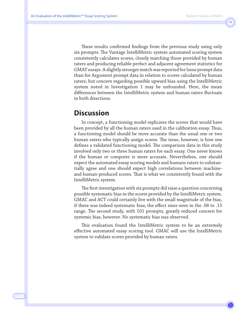These results confirmed findings from the previous study using only six prompts: The Vantage IntelliMetric system automated scoring system consistently calculates scores, closely matching those provided by human raters and producing reliable perfect and adjacent agreement statistics for GMAT essays. A slightly stronger match was reported for Issue prompt data than for Argument prompt data in relation to scores calculated by human raters, but concern regarding possible upward bias using the IntelliMetric system noted in Investigation 1 may be unfounded. Here, the mean differences between the IntelliMetric system and human raters fluctuate in both directions.

# **Discussion**

In concept, a functioning model replicates the scores that would have been provided by all the human raters used in the calibration essay. Thus, a functioning model should be more accurate than the usual one or two human raters who typically assign scores. The issue, however, is how one defines a validated functioning model. The comparison data in this study involved only two or three human raters for each essay. One never knows if the human or computer is more accurate. Nevertheless, one should expect the automated essay scoring models and humans raters to substantially agree and one should expect high correlations between machineand human-produced scores. That is what we consistently found with the IntelliMetric system.

The first investigation with six prompts did raise a question concerning possible systematic bias in the scores provided by the IntelliMetric system. GMAC and ACT could certainly live with the small magnitude of the bias, if there was indeed systematic bias; the effect sizes were in the .08 to .15 range. The second study, with 101 prompts, greatly reduced concern for systemic bias, however. No systematic bias was observed.

This evaluation found the IntelliMetric system to be an extremely effective automated essay scoring tool. GMAC will use the IntelliMetric system to validate scores provided by human raters.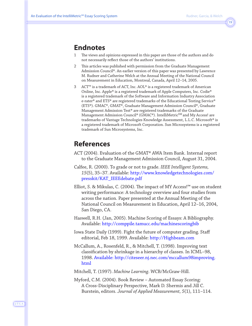## **Endnotes**

- 1 The views and opinions expressed in this paper are those of the authors and do not necessarily reflect those of the authors' institutions.
- 2 This articles was published with permission from the Graduate Management Admission Council®. An earlier version of this paper was presented by Lawrence M. Rudner and Catherine Welch at the Annual Meeting of the National Council on Measurement in Education, Montreal, Canada, April 12–14, 2005.
- 3 ACT™ is a trademark of ACT, Inc. AOL® is a registered trademark of American Online, Inc. Apple® is a registered trademark of Apple Computers, Inc. Codie® is a registered trademark of the Software and Information Industry Association e-rater® and ETS® are registered trademarks of the Educational Testing Service® (ETS®). GMAC®, GMAT®, Graduate Management Admission Council®, Graduate Management Admission Test® are registered trademarks of the Graduate Management Admission Council® (GMAC®). IntelliMetric<sup>SM</sup> and My Access! are trademarks of Vantage Technologies Knowledge Assessment, L.L.C. Microsoft® is a registered trademark of Microsoft Corporation. Sun Microsystems is a registered trademark of Sun Microsystems, Inc.

# **References**

- ACT (2004). Evaluation of the GMAT® AWA Item Bank. Internal report to the Graduate Management Admission Council, August 31, 2004.
- Calfee, R. (2000). To grade or not to grade. *IEEE Intelligent Systems, 15*(5), 35–37. Available: http://www.knowledgetechnologies.com/ presskit/KAT\_IEEEdebate.pdf
- Elliot, S. & Mikulas, C. (2004). The impact of MY Access!™ use on student writing performance: A technology overview and four studies from across the nation. Paper presented at the Annual Meeting of the National Council on Measurement in Education, April 12–16, 2004, San Diego, CA.
- Haswell, R.H. (Jan, 2005). Machine Scoring of Essays: A Bibliography. Available: http://comppile.tamucc.edu/machinescoringbib
- Iowa State Daily (1999). Fight the future of computer grading. Staff editorial, Feb 18, 1999. Available: http://Highbeam.com
- McCallum, A., Rosenfeld, R., & Mitchell, T. (1998). Improving text classification by shrinkage in a hierarchy of classes. In ICML–98, 1998. Available: http://citeseer.nj.nec.com/mccallum98improving. html

Mitchell, T. (1997). *Machine Learning*. WCB/McGraw-Hill.

Myford, C.M. (2004). Book Review – Automated Essay Scoring: A Cross-Disciplinary Perspective, Mark D. Shermis and Jill C. Burstein, editors. *Journal of Applied Measurement, 5*(1), 111–114.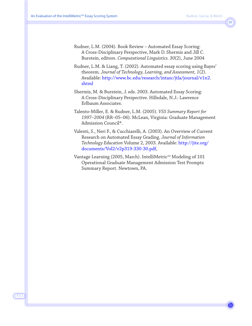- Rudner, L.M. (2004). Book Review Automated Essay Scoring: A Cross-Disciplinary Perspective, Mark D. Shermis and Jill C. Burstein, editors. *Computational Linguistics. 30*(2), June 2004
- Rudner, L.M. & Liang, T. (2002). Automated essay scoring using Bayes' theorem. *Journal of Technology, Learning, and Assessment, 1*(2). Available: http://www.bc.edu/research/intasc/jtla/journal/v1n2. shtml
- Shermis, M. & Burstein, J. eds. 2003. Automated Essay Scoring: A Cross-Disciplinary Perspective. Hillsdale, N.J.: Lawrence Erlbaum Associates.
- Talento-Miller, E. & Rudner, L.M. (2005). *VSS Summary Report for 1997–2004* (RR–05–06). McLean, Virginia: Graduate Management Admission Council®.
- Valenti, S., Neri F., & Cucchiarelli, A. (2003). An Overview of Current Research on Automated Essay Grading. *Journal of Information Technology Education* Volume 2, 2003. Available: http://jite.org/ documents/Vol2/v2p319-330-30.pdf,
- Vantage Learning (2005, March). IntelliMetric<sup>SM</sup> Modeling of 101 Operational Graduate Management Admission Test Prompts Summary Report. Newtown, PA.

J·T·L·A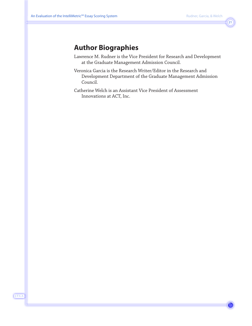# **Author Biographies**

- Lawrence M. Rudner is the Vice President for Research and Development at the Graduate Management Admission Council.
- Veronica Garcia is the Research Writer/Editor in the Research and Development Department of the Graduate Management Admission Council.
- Catherine Welch is an Assistant Vice President of Assessment Innovations at ACT, Inc.

J·T·L·A